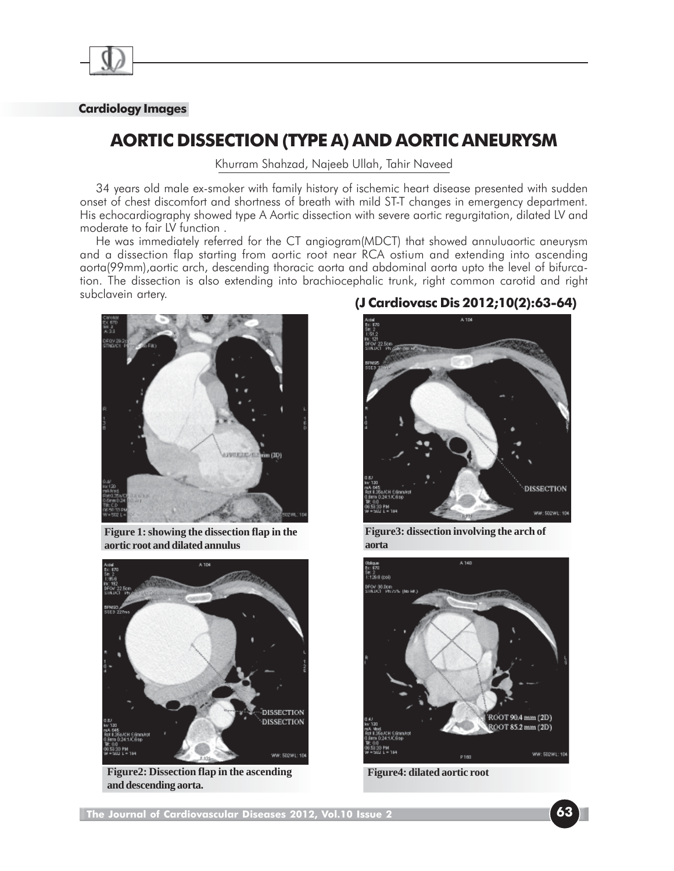

## **Cardiology Images**

## **AORTIC DISSECTION (TYPE A) AND AORTIC ANEURYSM**

Khurram Shahzad, Najeeb Ullah, Tahir Naveed

34 years old male ex-smoker with family history of ischemic heart disease presented with sudden onset of chest discomfort and shortness of breath with mild ST-T changes in emergency department. His echocardiography showed type A Aortic dissection with severe aortic regurgitation, dilated LV and moderate to fair LV function .

He was immediately referred for the CT angiogram(MDCT) that showed annuluaortic aneurysm and a dissection flap starting from aortic root near RCA ostium and extending into ascending aorta(99mm),aortic arch, descending thoracic aorta and abdominal aorta upto the level of bifurcation. The dissection is also extending into brachiocephalic trunk, right common carotid and right subclavein artery.



**Figure 1: showing the dissection flap in the aortic root and dilated annulus**



**Figure2: Dissection flap in the ascending and descending aorta.**

## **(J Cardiovasc Dis 2012;10(2):63-64)**



**Figure3: dissection involving the arch of aorta**



**Figure4: dilated aortic root**